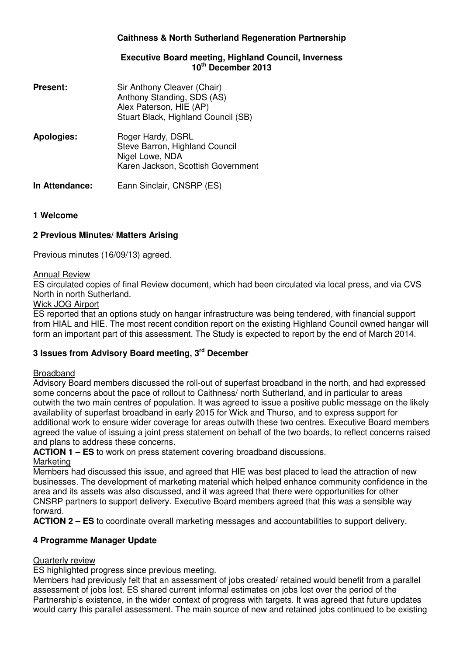## **Caithness & North Sutherland Regeneration Partnership**

#### **Executive Board meeting, Highland Council, Inverness 10th December 2013**

| <b>Present:</b>   | Sir Anthony Cleaver (Chair)<br>Anthony Standing, SDS (AS)<br>Alex Paterson, HIE (AP)<br>Stuart Black, Highland Council (SB) |
|-------------------|-----------------------------------------------------------------------------------------------------------------------------|
| <b>Apologies:</b> | Roger Hardy, DSRL<br>Steve Barron, Highland Council<br>Nigel Lowe, NDA<br>Karen Jackson, Scottish Government                |
| In Attendance:    | Eann Sinclair, CNSRP (ES)                                                                                                   |

### **1 Welcome**

## **2 Previous Minutes/ Matters Arising**

Previous minutes (16/09/13) agreed.

#### Annual Review

ES circulated copies of final Review document, which had been circulated via local press, and via CVS North in north Sutherland.

### Wick JOG Airport

ES reported that an options study on hangar infrastructure was being tendered, with financial support from HIAL and HIE. The most recent condition report on the existing Highland Council owned hangar will form an important part of this assessment. The Study is expected to report by the end of March 2014.

# **3 Issues from Advisory Board meeting, 3rd December**

#### Broadband

Advisory Board members discussed the roll-out of superfast broadband in the north, and had expressed some concerns about the pace of rollout to Caithness/ north Sutherland, and in particular to areas outwith the two main centres of population. It was agreed to issue a positive public message on the likely availability of superfast broadband in early 2015 for Wick and Thurso, and to express support for additional work to ensure wider coverage for areas outwith these two centres. Executive Board members agreed the value of issuing a joint press statement on behalf of the two boards, to reflect concerns raised and plans to address these concerns.

**ACTION 1 – ES** to work on press statement covering broadband discussions.

#### Marketing

Members had discussed this issue, and agreed that HIE was best placed to lead the attraction of new businesses. The development of marketing material which helped enhance community confidence in the area and its assets was also discussed, and it was agreed that there were opportunities for other CNSRP partners to support delivery. Executive Board members agreed that this was a sensible way forward.

**ACTION 2 – ES** to coordinate overall marketing messages and accountabilities to support delivery.

## **4 Programme Manager Update**

## Quarterly review

ES highlighted progress since previous meeting.

Members had previously felt that an assessment of jobs created/ retained would benefit from a parallel assessment of jobs lost. ES shared current informal estimates on jobs lost over the period of the Partnership's existence, in the wider context of progress with targets. It was agreed that future updates would carry this parallel assessment. The main source of new and retained jobs continued to be existing